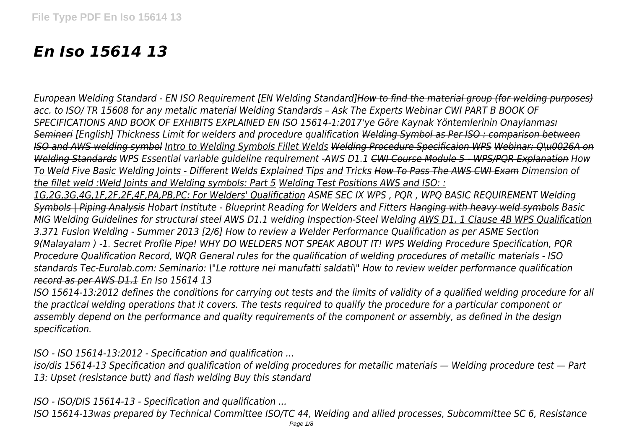# *En Iso 15614 13*

*European Welding Standard - EN ISO Requirement [EN Welding Standard]How to find the material group (for welding purposes) acc. to ISO/ TR 15608 for any metalic material Welding Standards – Ask The Experts Webinar CWI PART B BOOK OF SPECIFICATIONS AND BOOK OF EXHIBITS EXPLAINED EN ISO 15614-1:2017'ye Göre Kaynak Yöntemlerinin Onaylanması Semineri [English] Thickness Limit for welders and procedure qualification Welding Symbol as Per ISO : comparison between ISO and AWS welding symbol Intro to Welding Symbols Fillet Welds Welding Procedure Specificaion WPS Webinar: Q\u0026A on Welding Standards WPS Essential variable guideline requirement -AWS D1.1 CWI Course Module 5 - WPS/PQR Explanation How To Weld Five Basic Welding Joints - Different Welds Explained Tips and Tricks How To Pass The AWS CWI Exam Dimension of the fillet weld :Weld Joints and Welding symbols: Part 5 Welding Test Positions AWS and ISO: : 1G,2G,3G,4G,1F,2F,2F,4F,PA,PB,PC: For Welders' Qualification ASME SEC IX WPS , PQR , WPQ BASIC REQUIREMENT Welding Symbols | Piping Analysis Hobart Institute - Blueprint Reading for Welders and Fitters Hanging with heavy weld symbols Basic MIG Welding Guidelines for structural steel AWS D1.1 welding Inspection-Steel Welding AWS D1. 1 Clause 4B WPS Qualification 3.371 Fusion Welding - Summer 2013 [2/6] How to review a Welder Performance Qualification as per ASME Section 9(Malayalam ) -1. Secret Profile Pipe! WHY DO WELDERS NOT SPEAK ABOUT IT! WPS Welding Procedure Specification, PQR Procedure Qualification Record, WQR General rules for the qualification of welding procedures of metallic materials - ISO standards Tec-Eurolab.com: Seminario: \"Le rotture nei manufatti saldati\" How to review welder performance qualification*

*record as per AWS D1.1 En Iso 15614 13*

*ISO 15614-13:2012 defines the conditions for carrying out tests and the limits of validity of a qualified welding procedure for all the practical welding operations that it covers. The tests required to qualify the procedure for a particular component or assembly depend on the performance and quality requirements of the component or assembly, as defined in the design specification.*

*ISO - ISO 15614-13:2012 - Specification and qualification ...*

*iso/dis 15614-13 Specification and qualification of welding procedures for metallic materials — Welding procedure test — Part 13: Upset (resistance butt) and flash welding Buy this standard*

*ISO - ISO/DIS 15614-13 - Specification and qualification ...*

*ISO 15614-13was prepared by Technical Committee ISO/TC 44, Welding and allied processes, Subcommittee SC 6, Resistance*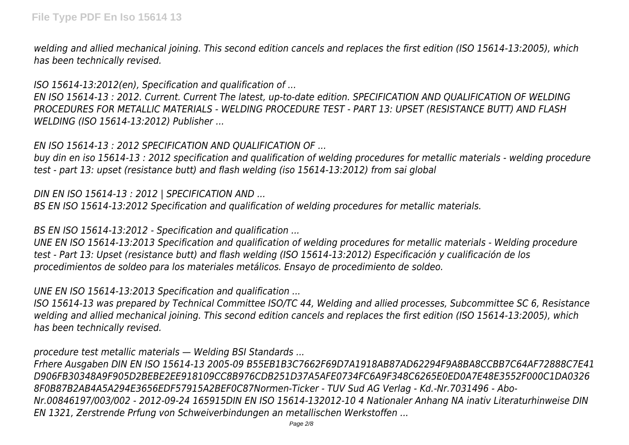*welding and allied mechanical joining. This second edition cancels and replaces the first edition (ISO 15614-13:2005), which has been technically revised.*

*ISO 15614-13:2012(en), Specification and qualification of ...*

*EN ISO 15614-13 : 2012. Current. Current The latest, up-to-date edition. SPECIFICATION AND QUALIFICATION OF WELDING PROCEDURES FOR METALLIC MATERIALS - WELDING PROCEDURE TEST - PART 13: UPSET (RESISTANCE BUTT) AND FLASH WELDING (ISO 15614-13:2012) Publisher ...*

*EN ISO 15614-13 : 2012 SPECIFICATION AND QUALIFICATION OF ...*

*buy din en iso 15614-13 : 2012 specification and qualification of welding procedures for metallic materials - welding procedure test - part 13: upset (resistance butt) and flash welding (iso 15614-13:2012) from sai global*

*DIN EN ISO 15614-13 : 2012 | SPECIFICATION AND ...*

*BS EN ISO 15614-13:2012 Specification and qualification of welding procedures for metallic materials.*

*BS EN ISO 15614-13:2012 - Specification and qualification ...*

*UNE EN ISO 15614-13:2013 Specification and qualification of welding procedures for metallic materials - Welding procedure test - Part 13: Upset (resistance butt) and flash welding (ISO 15614-13:2012) Especificación y cualificación de los procedimientos de soldeo para los materiales metálicos. Ensayo de procedimiento de soldeo.*

*UNE EN ISO 15614-13:2013 Specification and qualification ...*

*ISO 15614-13 was prepared by Technical Committee ISO/TC 44, Welding and allied processes, Subcommittee SC 6, Resistance welding and allied mechanical joining. This second edition cancels and replaces the first edition (ISO 15614-13:2005), which has been technically revised.*

*procedure test metallic materials — Welding BSI Standards ...*

*Frhere Ausgaben DIN EN ISO 15614-13 2005-09 B55EB1B3C7662F69D7A1918AB87AD62294F9A8BA8CCBB7C64AF72888C7E41 D906FB30348A9F905D2BEBE2EE918109CC8B976CDB251D37A5AFE0734FC6A9F348C6265E0ED0A7E48E3552F000C1DA0326 8F0B87B2AB4A5A294E3656EDF57915A2BEF0C87Normen-Ticker - TUV Sud AG Verlag - Kd.-Nr.7031496 - Abo-Nr.00846197/003/002 - 2012-09-24 165915DIN EN ISO 15614-132012-10 4 Nationaler Anhang NA inativ Literaturhinweise DIN EN 1321, Zerstrende Prfung von Schweiverbindungen an metallischen Werkstoffen ...*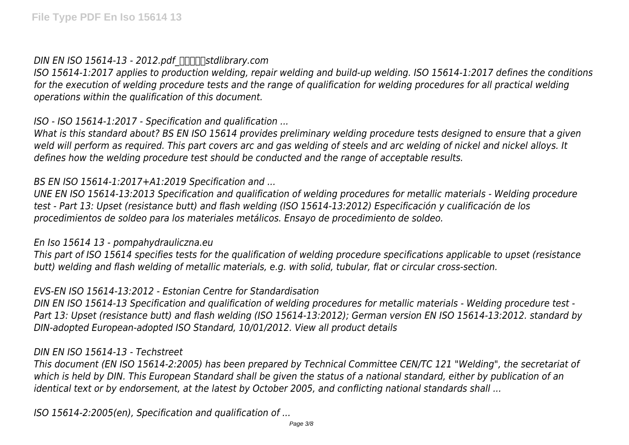*DIN EN ISO 15614-13 - 2012.pdf*  $\pi$ <sub>*IM*</sub> $\pi$ *Istdlibrary.com* 

*ISO 15614-1:2017 applies to production welding, repair welding and build-up welding. ISO 15614-1:2017 defines the conditions for the execution of welding procedure tests and the range of qualification for welding procedures for all practical welding operations within the qualification of this document.*

*ISO - ISO 15614-1:2017 - Specification and qualification ...*

*What is this standard about? BS EN ISO 15614 provides preliminary welding procedure tests designed to ensure that a given weld will perform as required. This part covers arc and gas welding of steels and arc welding of nickel and nickel alloys. It defines how the welding procedure test should be conducted and the range of acceptable results.*

# *BS EN ISO 15614-1:2017+A1:2019 Specification and ...*

*UNE EN ISO 15614-13:2013 Specification and qualification of welding procedures for metallic materials - Welding procedure test - Part 13: Upset (resistance butt) and flash welding (ISO 15614-13:2012) Especificación y cualificación de los procedimientos de soldeo para los materiales metálicos. Ensayo de procedimiento de soldeo.*

## *En Iso 15614 13 - pompahydrauliczna.eu*

*This part of ISO 15614 specifies tests for the qualification of welding procedure specifications applicable to upset (resistance butt) welding and flash welding of metallic materials, e.g. with solid, tubular, flat or circular cross-section.*

# *EVS-EN ISO 15614-13:2012 - Estonian Centre for Standardisation*

*DIN EN ISO 15614-13 Specification and qualification of welding procedures for metallic materials - Welding procedure test - Part 13: Upset (resistance butt) and flash welding (ISO 15614-13:2012); German version EN ISO 15614-13:2012. standard by DIN-adopted European-adopted ISO Standard, 10/01/2012. View all product details*

## *DIN EN ISO 15614-13 - Techstreet*

*This document (EN ISO 15614-2:2005) has been prepared by Technical Committee CEN/TC 121 "Welding", the secretariat of which is held by DIN. This European Standard shall be given the status of a national standard, either by publication of an identical text or by endorsement, at the latest by October 2005, and conflicting national standards shall ...*

*ISO 15614-2:2005(en), Specification and qualification of ...*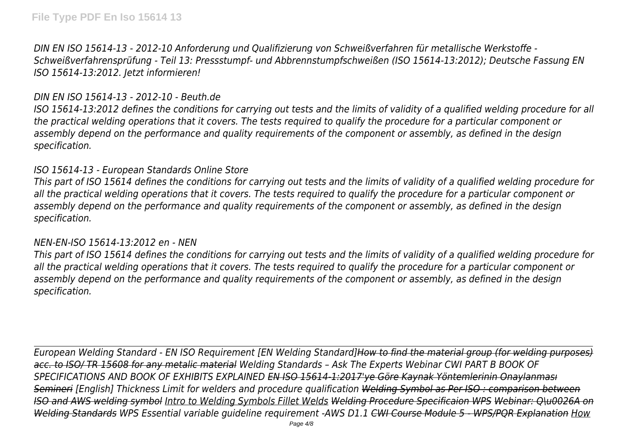*DIN EN ISO 15614-13 - 2012-10 Anforderung und Qualifizierung von Schweißverfahren für metallische Werkstoffe - Schweißverfahrensprüfung - Teil 13: Pressstumpf- und Abbrennstumpfschweißen (ISO 15614-13:2012); Deutsche Fassung EN ISO 15614-13:2012. Jetzt informieren!*

### *DIN EN ISO 15614-13 - 2012-10 - Beuth.de*

*ISO 15614-13:2012 defines the conditions for carrying out tests and the limits of validity of a qualified welding procedure for all the practical welding operations that it covers. The tests required to qualify the procedure for a particular component or assembly depend on the performance and quality requirements of the component or assembly, as defined in the design specification.*

### *ISO 15614-13 - European Standards Online Store*

*This part of ISO 15614 defines the conditions for carrying out tests and the limits of validity of a qualified welding procedure for all the practical welding operations that it covers. The tests required to qualify the procedure for a particular component or assembly depend on the performance and quality requirements of the component or assembly, as defined in the design specification.*

#### *NEN-EN-ISO 15614-13:2012 en - NEN*

*This part of ISO 15614 defines the conditions for carrying out tests and the limits of validity of a qualified welding procedure for all the practical welding operations that it covers. The tests required to qualify the procedure for a particular component or assembly depend on the performance and quality requirements of the component or assembly, as defined in the design specification.*

*European Welding Standard - EN ISO Requirement [EN Welding Standard]How to find the material group (for welding purposes) acc. to ISO/ TR 15608 for any metalic material Welding Standards – Ask The Experts Webinar CWI PART B BOOK OF SPECIFICATIONS AND BOOK OF EXHIBITS EXPLAINED EN ISO 15614-1:2017'ye Göre Kaynak Yöntemlerinin Onaylanması Semineri [English] Thickness Limit for welders and procedure qualification Welding Symbol as Per ISO : comparison between ISO and AWS welding symbol Intro to Welding Symbols Fillet Welds Welding Procedure Specificaion WPS Webinar: Q\u0026A on Welding Standards WPS Essential variable guideline requirement -AWS D1.1 CWI Course Module 5 - WPS/PQR Explanation How*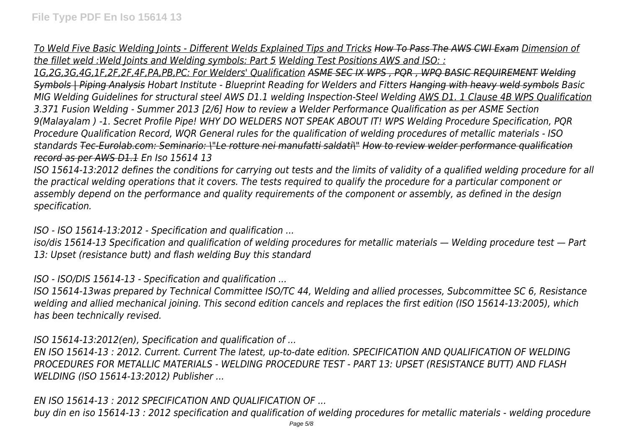*To Weld Five Basic Welding Joints - Different Welds Explained Tips and Tricks How To Pass The AWS CWI Exam Dimension of the fillet weld :Weld Joints and Welding symbols: Part 5 Welding Test Positions AWS and ISO: :*

*1G,2G,3G,4G,1F,2F,2F,4F,PA,PB,PC: For Welders' Qualification ASME SEC IX WPS , PQR , WPQ BASIC REQUIREMENT Welding Symbols | Piping Analysis Hobart Institute - Blueprint Reading for Welders and Fitters Hanging with heavy weld symbols Basic MIG Welding Guidelines for structural steel AWS D1.1 welding Inspection-Steel Welding AWS D1. 1 Clause 4B WPS Qualification 3.371 Fusion Welding - Summer 2013 [2/6] How to review a Welder Performance Qualification as per ASME Section 9(Malayalam ) -1. Secret Profile Pipe! WHY DO WELDERS NOT SPEAK ABOUT IT! WPS Welding Procedure Specification, PQR Procedure Qualification Record, WQR General rules for the qualification of welding procedures of metallic materials - ISO standards Tec-Eurolab.com: Seminario: \"Le rotture nei manufatti saldati\" How to review welder performance qualification record as per AWS D1.1 En Iso 15614 13*

*ISO 15614-13:2012 defines the conditions for carrying out tests and the limits of validity of a qualified welding procedure for all the practical welding operations that it covers. The tests required to qualify the procedure for a particular component or assembly depend on the performance and quality requirements of the component or assembly, as defined in the design specification.*

*ISO - ISO 15614-13:2012 - Specification and qualification ...*

*iso/dis 15614-13 Specification and qualification of welding procedures for metallic materials — Welding procedure test — Part 13: Upset (resistance butt) and flash welding Buy this standard*

*ISO - ISO/DIS 15614-13 - Specification and qualification ...*

*ISO 15614-13was prepared by Technical Committee ISO/TC 44, Welding and allied processes, Subcommittee SC 6, Resistance welding and allied mechanical joining. This second edition cancels and replaces the first edition (ISO 15614-13:2005), which has been technically revised.*

*ISO 15614-13:2012(en), Specification and qualification of ...*

*EN ISO 15614-13 : 2012. Current. Current The latest, up-to-date edition. SPECIFICATION AND QUALIFICATION OF WELDING PROCEDURES FOR METALLIC MATERIALS - WELDING PROCEDURE TEST - PART 13: UPSET (RESISTANCE BUTT) AND FLASH WELDING (ISO 15614-13:2012) Publisher ...*

*EN ISO 15614-13 : 2012 SPECIFICATION AND QUALIFICATION OF ...*

*buy din en iso 15614-13 : 2012 specification and qualification of welding procedures for metallic materials - welding procedure*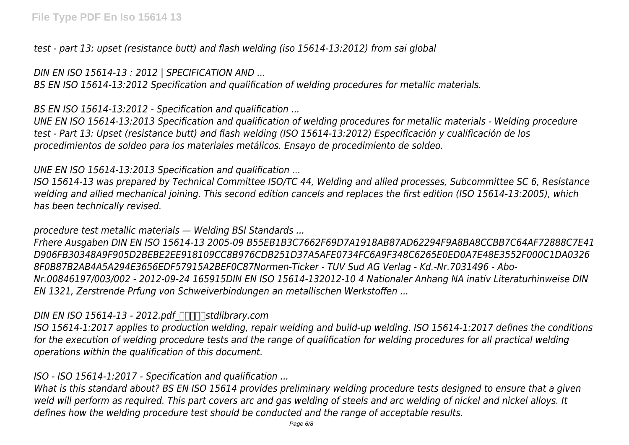*test - part 13: upset (resistance butt) and flash welding (iso 15614-13:2012) from sai global*

*DIN EN ISO 15614-13 : 2012 | SPECIFICATION AND ...*

*BS EN ISO 15614-13:2012 Specification and qualification of welding procedures for metallic materials.*

*BS EN ISO 15614-13:2012 - Specification and qualification ...*

*UNE EN ISO 15614-13:2013 Specification and qualification of welding procedures for metallic materials - Welding procedure test - Part 13: Upset (resistance butt) and flash welding (ISO 15614-13:2012) Especificación y cualificación de los procedimientos de soldeo para los materiales metálicos. Ensayo de procedimiento de soldeo.*

*UNE EN ISO 15614-13:2013 Specification and qualification ...*

*ISO 15614-13 was prepared by Technical Committee ISO/TC 44, Welding and allied processes, Subcommittee SC 6, Resistance welding and allied mechanical joining. This second edition cancels and replaces the first edition (ISO 15614-13:2005), which has been technically revised.*

*procedure test metallic materials — Welding BSI Standards ...*

*Frhere Ausgaben DIN EN ISO 15614-13 2005-09 B55EB1B3C7662F69D7A1918AB87AD62294F9A8BA8CCBB7C64AF72888C7E41 D906FB30348A9F905D2BEBE2EE918109CC8B976CDB251D37A5AFE0734FC6A9F348C6265E0ED0A7E48E3552F000C1DA0326 8F0B87B2AB4A5A294E3656EDF57915A2BEF0C87Normen-Ticker - TUV Sud AG Verlag - Kd.-Nr.7031496 - Abo-Nr.00846197/003/002 - 2012-09-24 165915DIN EN ISO 15614-132012-10 4 Nationaler Anhang NA inativ Literaturhinweise DIN EN 1321, Zerstrende Prfung von Schweiverbindungen an metallischen Werkstoffen ...*

*DIN EN ISO 15614-13 - 2012.pdf*  $\pi$ <sub>*IM*</sub> $\pi$ *Istdlibrary.com* 

*ISO 15614-1:2017 applies to production welding, repair welding and build-up welding. ISO 15614-1:2017 defines the conditions for the execution of welding procedure tests and the range of qualification for welding procedures for all practical welding operations within the qualification of this document.*

*ISO - ISO 15614-1:2017 - Specification and qualification ...*

*What is this standard about? BS EN ISO 15614 provides preliminary welding procedure tests designed to ensure that a given weld will perform as required. This part covers arc and gas welding of steels and arc welding of nickel and nickel alloys. It defines how the welding procedure test should be conducted and the range of acceptable results.*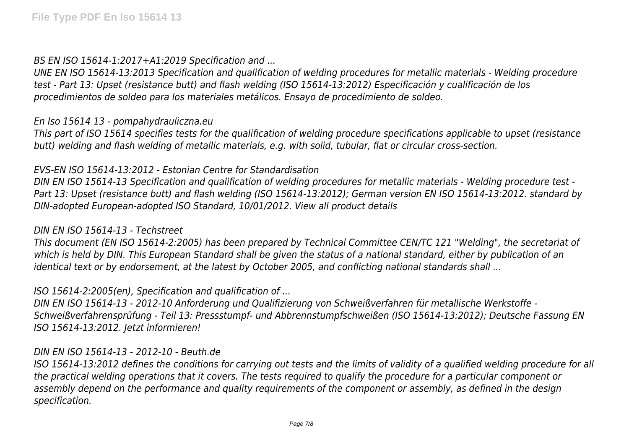*BS EN ISO 15614-1:2017+A1:2019 Specification and ...*

*UNE EN ISO 15614-13:2013 Specification and qualification of welding procedures for metallic materials - Welding procedure test - Part 13: Upset (resistance butt) and flash welding (ISO 15614-13:2012) Especificación y cualificación de los procedimientos de soldeo para los materiales metálicos. Ensayo de procedimiento de soldeo.*

#### *En Iso 15614 13 - pompahydrauliczna.eu*

*This part of ISO 15614 specifies tests for the qualification of welding procedure specifications applicable to upset (resistance butt) welding and flash welding of metallic materials, e.g. with solid, tubular, flat or circular cross-section.*

# *EVS-EN ISO 15614-13:2012 - Estonian Centre for Standardisation*

*DIN EN ISO 15614-13 Specification and qualification of welding procedures for metallic materials - Welding procedure test - Part 13: Upset (resistance butt) and flash welding (ISO 15614-13:2012); German version EN ISO 15614-13:2012. standard by DIN-adopted European-adopted ISO Standard, 10/01/2012. View all product details*

## *DIN EN ISO 15614-13 - Techstreet*

*This document (EN ISO 15614-2:2005) has been prepared by Technical Committee CEN/TC 121 "Welding", the secretariat of which is held by DIN. This European Standard shall be given the status of a national standard, either by publication of an identical text or by endorsement, at the latest by October 2005, and conflicting national standards shall ...*

# *ISO 15614-2:2005(en), Specification and qualification of ...*

*DIN EN ISO 15614-13 - 2012-10 Anforderung und Qualifizierung von Schweißverfahren für metallische Werkstoffe - Schweißverfahrensprüfung - Teil 13: Pressstumpf- und Abbrennstumpfschweißen (ISO 15614-13:2012); Deutsche Fassung EN ISO 15614-13:2012. Jetzt informieren!*

# *DIN EN ISO 15614-13 - 2012-10 - Beuth.de*

*ISO 15614-13:2012 defines the conditions for carrying out tests and the limits of validity of a qualified welding procedure for all the practical welding operations that it covers. The tests required to qualify the procedure for a particular component or assembly depend on the performance and quality requirements of the component or assembly, as defined in the design specification.*